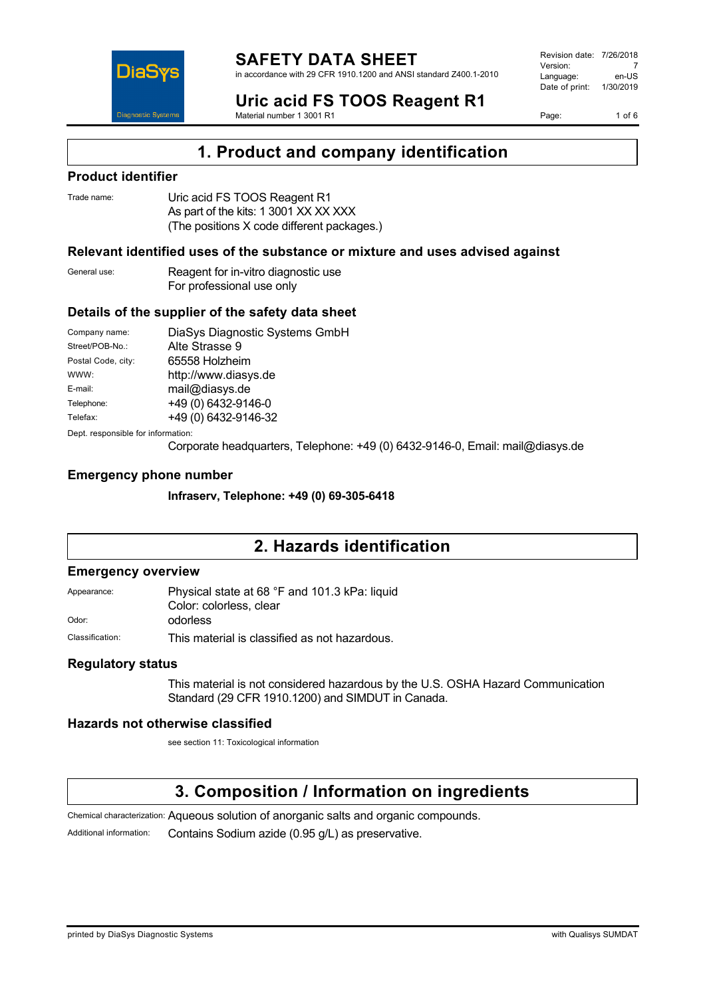

#### **SAFETY DATA SHEET** in accordance with 29 CFR 1910.1200 and ANSI standard Z400.1-2010

Revision date: 7/26/2018 Version: 7<br>Language: en-LIS Language: Date of print: 1/30/2019

Page: 1 of 6

**Uric acid FS TOOS Reagent R1** Material number 1 3001 R1

**1. Product and company identification**

### **Product identifier**

| Trade name: | Uric acid FS TOOS Reagent R1               |
|-------------|--------------------------------------------|
|             | As part of the kits: 1 3001 XX XX XXX      |
|             | (The positions X code different packages.) |

### **Relevant identified uses of the substance or mixture and uses advised against**

General use: Reagent for in-vitro diagnostic use For professional use only

#### **Details of the supplier of the safety data sheet**

| Company name:                      | DiaSys Diagnostic Systems GmbH |  |  |
|------------------------------------|--------------------------------|--|--|
| Street/POB-No.:                    | Alte Strasse 9                 |  |  |
| Postal Code, city:                 | 65558 Holzheim                 |  |  |
| WWW:                               | http://www.diasys.de           |  |  |
| E-mail:                            | mail@diasys.de                 |  |  |
| Telephone:                         | +49 (0) 6432-9146-0            |  |  |
| Telefax:                           | +49 (0) 6432-9146-32           |  |  |
| Dept. responsible for information: |                                |  |  |

Corporate headquarters, Telephone: +49 (0) 6432-9146-0, Email: mail@diasys.de

#### **Emergency phone number**

**Infraserv, Telephone: +49 (0) 69-305-6418**

# **2. Hazards identification**

#### **Emergency overview**

Appearance: Physical state at 68 °F and 101.3 kPa: liquid Color: colorless, clear Odor: odorless

Classification: This material is classified as not hazardous.

### **Regulatory status**

This material is not considered hazardous by the U.S. OSHA Hazard Communication Standard (29 CFR 1910.1200) and SIMDUT in Canada.

### **Hazards not otherwise classified**

see section 11: Toxicological information

# **3. Composition / Information on ingredients**

Chemical characterization: Aqueous solution of anorganic salts and organic compounds.

Additional information: Contains Sodium azide (0.95 g/L) as preservative.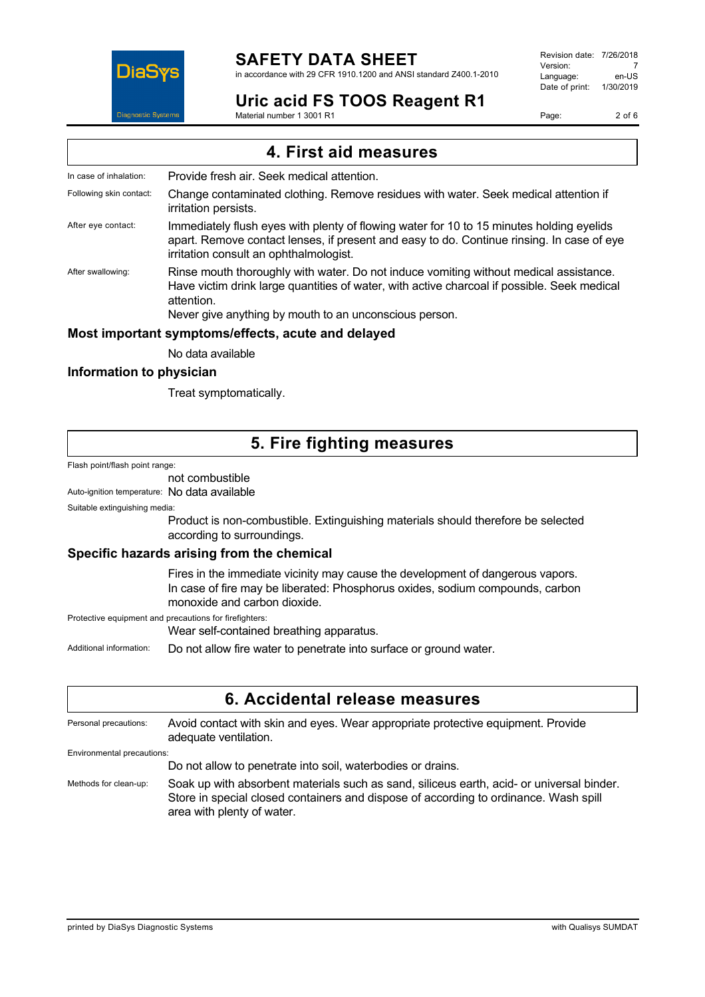

in accordance with 29 CFR 1910.1200 and ANSI standard Z400.1-2010

# **Uric acid FS TOOS Reagent R1**

Revision date: 7/26/2018 Version: 7<br>Language: en-LIS Language: en-US<br>Date of print: 1/30/2019 Date of print:

Page: 2 of 6

Material number 1 3001 R1

**4. First aid measures**

In case of inhalation: Provide fresh air. Seek medical attention.

Following skin contact: Change contaminated clothing. Remove residues with water. Seek medical attention if irritation persists.

After eye contact: Immediately flush eyes with plenty of flowing water for 10 to 15 minutes holding eyelids apart. Remove contact lenses, if present and easy to do. Continue rinsing. In case of eye irritation consult an ophthalmologist.

After swallowing: Rinse mouth thoroughly with water. Do not induce vomiting without medical assistance. Have victim drink large quantities of water, with active charcoal if possible. Seek medical attention.

Never give anything by mouth to an unconscious person.

### **Most important symptoms/effects, acute and delayed**

No data available

### **Information to physician**

Treat symptomatically.

# **5. Fire fighting measures**

Flash point/flash point range:

not combustible

Auto-ignition temperature: No data available

Suitable extinguishing media:

Product is non-combustible. Extinguishing materials should therefore be selected according to surroundings.

### **Specific hazards arising from the chemical**

Fires in the immediate vicinity may cause the development of dangerous vapors. In case of fire may be liberated: Phosphorus oxides, sodium compounds, carbon monoxide and carbon dioxide.

Protective equipment and precautions for firefighters:

Wear self-contained breathing apparatus.

Additional information: Do not allow fire water to penetrate into surface or ground water.

### **6. Accidental release measures**

Personal precautions: Avoid contact with skin and eyes. Wear appropriate protective equipment. Provide adequate ventilation. Environmental precautions: Do not allow to penetrate into soil, waterbodies or drains. Methods for clean-up: Soak up with absorbent materials such as sand, siliceus earth, acid- or universal binder. Store in special closed containers and dispose of according to ordinance. Wash spill area with plenty of water.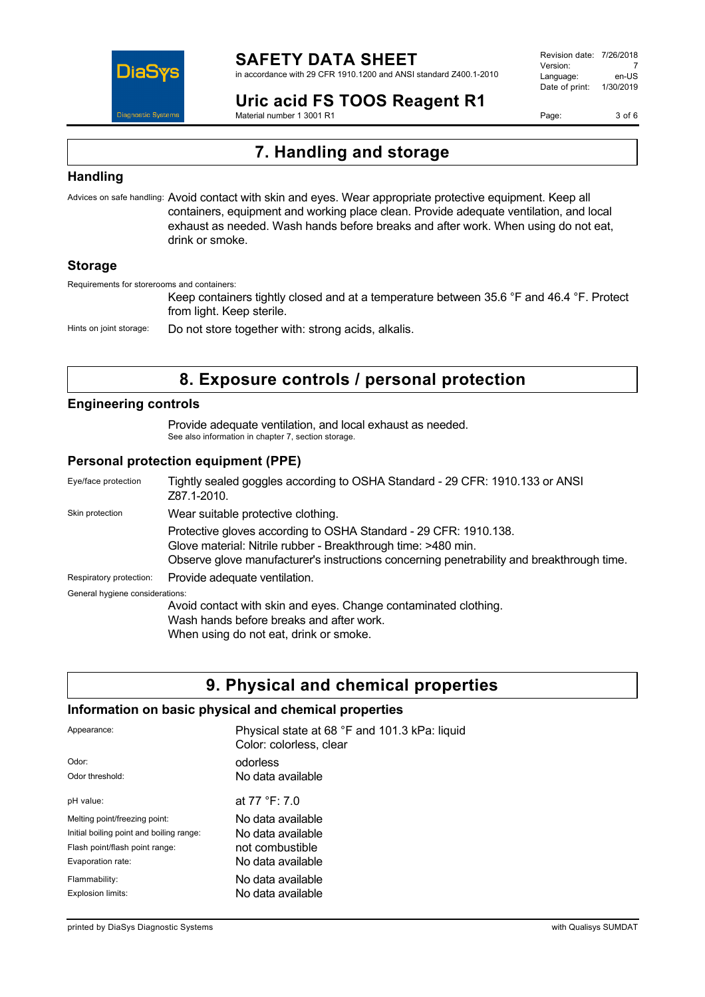

in accordance with 29 CFR 1910.1200 and ANSI standard Z400.1-2010

Revision date: 7/26/2018 Version: 7<br>Language: en-LIS Language: Date of print: 1/30/2019

**Uric acid FS TOOS Reagent R1** Material number 1 3001 R1

Page: 3 of 6

# **7. Handling and storage**

### **Handling**

Advices on safe handling: Avoid contact with skin and eyes. Wear appropriate protective equipment. Keep all containers, equipment and working place clean. Provide adequate ventilation, and local exhaust as needed. Wash hands before breaks and after work. When using do not eat, drink or smoke.

### **Storage**

Requirements for storerooms and containers:

Keep containers tightly closed and at a temperature between 35.6 °F and 46.4 °F. Protect from light. Keep sterile.

Hints on joint storage: Do not store together with: strong acids, alkalis.

# **8. Exposure controls / personal protection**

### **Engineering controls**

Provide adequate ventilation, and local exhaust as needed. See also information in chapter 7, section storage.

### **Personal protection equipment (PPE)**

| Eye/face protection             | Tightly sealed goggles according to OSHA Standard - 29 CFR: 1910.133 or ANSI<br>Z87.1-2010.                                                                                                                                    |  |
|---------------------------------|--------------------------------------------------------------------------------------------------------------------------------------------------------------------------------------------------------------------------------|--|
| Skin protection                 | Wear suitable protective clothing.                                                                                                                                                                                             |  |
|                                 | Protective gloves according to OSHA Standard - 29 CFR: 1910.138.<br>Glove material: Nitrile rubber - Breakthrough time: >480 min.<br>Observe glove manufacturer's instructions concerning penetrability and breakthrough time. |  |
| Respiratory protection:         | Provide adequate ventilation.                                                                                                                                                                                                  |  |
| General hygiene considerations: |                                                                                                                                                                                                                                |  |
|                                 | Avoid contact with skin and eyes. Change contaminated clothing.<br>Wash hands before breaks and after work.<br>When using do not eat, drink or smoke.                                                                          |  |

## **9. Physical and chemical properties**

### **Information on basic physical and chemical properties**

| Appearance:                              | Physical state at 68 °F and 101.3 kPa: liquid<br>Color: colorless, clear |
|------------------------------------------|--------------------------------------------------------------------------|
| Odor:                                    | odorless                                                                 |
| Odor threshold:                          | No data available                                                        |
| pH value:                                | at 77 °F: 7.0                                                            |
| Melting point/freezing point:            | No data available                                                        |
| Initial boiling point and boiling range: | No data available                                                        |
| Flash point/flash point range:           | not combustible                                                          |
| Evaporation rate:                        | No data available                                                        |
| Flammability:                            | No data available                                                        |
| Explosion limits:                        | No data available                                                        |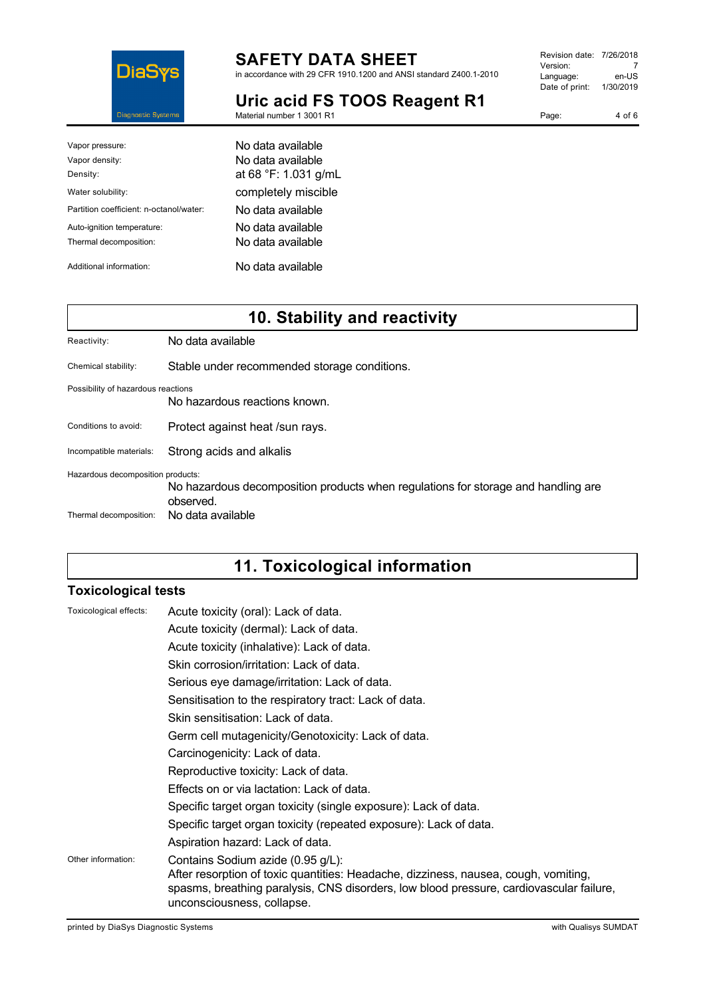

in accordance with 29 CFR 1910.1200 and ANSI standard Z400.1-2010

**Uric acid FS TOOS Reagent R1** Material number 1 3001 R1

| Revision date: 7/26/2018 |           |
|--------------------------|-----------|
| Version:                 |           |
| Language:                | en-US     |
| Date of print:           | 1/30/2019 |
|                          |           |

| Page: | 4 of 6 |
|-------|--------|

| Vapor pressure:                         | No data available    |
|-----------------------------------------|----------------------|
| Vapor density:                          | No data available    |
| Density:                                | at 68 °F: 1.031 g/mL |
| Water solubility:                       | completely miscible  |
| Partition coefficient: n-octanol/water: | No data available    |
| Auto-ignition temperature:              | No data available    |
| Thermal decomposition:                  | No data available    |
| Additional information:                 | No data available    |

# **10. Stability and reactivity**

| Reactivity:                        | No data available                                                                              |
|------------------------------------|------------------------------------------------------------------------------------------------|
| Chemical stability:                | Stable under recommended storage conditions.                                                   |
| Possibility of hazardous reactions | No hazardous reactions known.                                                                  |
| Conditions to avoid:               | Protect against heat /sun rays.                                                                |
| Incompatible materials:            | Strong acids and alkalis                                                                       |
| Hazardous decomposition products:  | No hazardous decomposition products when regulations for storage and handling are<br>observed. |
| Thermal decomposition:             | No data available                                                                              |

# **11. Toxicological information**

### **Toxicological tests**

| Toxicological effects: | Acute toxicity (oral): Lack of data.                                                                                                                                                                                                              |
|------------------------|---------------------------------------------------------------------------------------------------------------------------------------------------------------------------------------------------------------------------------------------------|
|                        | Acute toxicity (dermal): Lack of data.                                                                                                                                                                                                            |
|                        | Acute toxicity (inhalative): Lack of data.                                                                                                                                                                                                        |
|                        | Skin corrosion/irritation: Lack of data.                                                                                                                                                                                                          |
|                        | Serious eye damage/irritation: Lack of data.                                                                                                                                                                                                      |
|                        | Sensitisation to the respiratory tract: Lack of data.                                                                                                                                                                                             |
|                        | Skin sensitisation: Lack of data.                                                                                                                                                                                                                 |
|                        | Germ cell mutagenicity/Genotoxicity: Lack of data.                                                                                                                                                                                                |
|                        | Carcinogenicity: Lack of data.                                                                                                                                                                                                                    |
|                        | Reproductive toxicity: Lack of data.                                                                                                                                                                                                              |
|                        | Effects on or via lactation: Lack of data.                                                                                                                                                                                                        |
|                        | Specific target organ toxicity (single exposure): Lack of data.                                                                                                                                                                                   |
|                        | Specific target organ toxicity (repeated exposure): Lack of data.                                                                                                                                                                                 |
|                        | Aspiration hazard: Lack of data.                                                                                                                                                                                                                  |
| Other information:     | Contains Sodium azide (0.95 g/L):<br>After resorption of toxic quantities: Headache, dizziness, nausea, cough, vomiting,<br>spasms, breathing paralysis, CNS disorders, low blood pressure, cardiovascular failure,<br>unconsciousness, collapse. |
|                        |                                                                                                                                                                                                                                                   |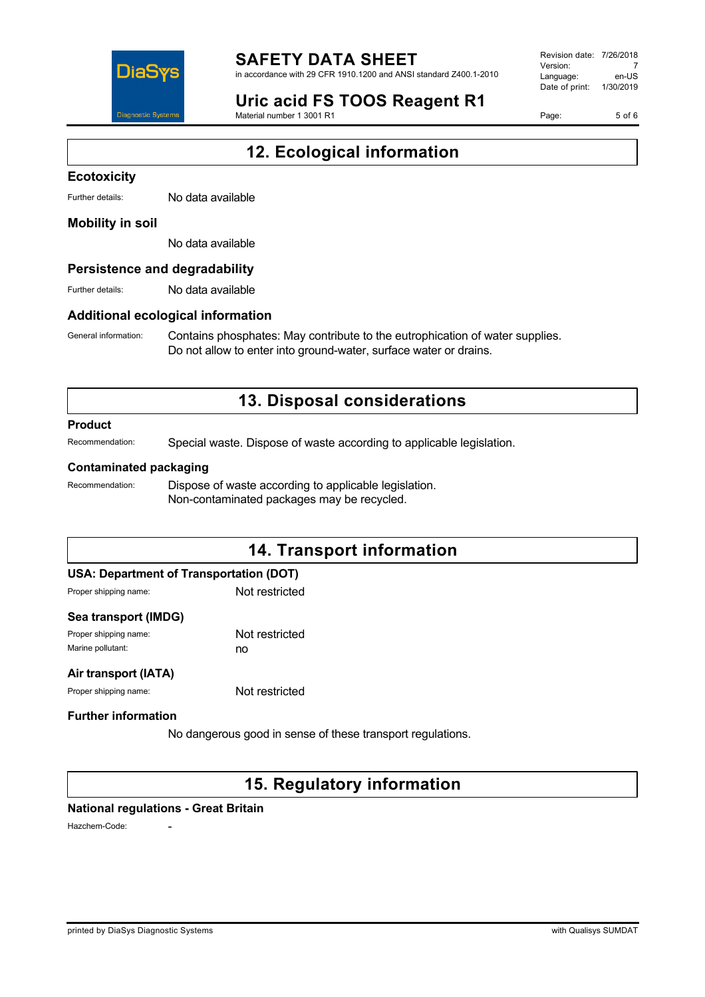

in accordance with 29 CFR 1910.1200 and ANSI standard Z400.1-2010

# **Uric acid FS TOOS Reagent R1**

Material number 1 3001 R1

Revision date: 7/26/2018 Version: 7<br>Language: en-LIS Language: Date of print: 1/30/2019

Page: 5 of 6

# **12. Ecological information**

#### **Ecotoxicity**

Further details: No data available

#### **Mobility in soil**

No data available

#### **Persistence and degradability**

Further details: No data available

#### **Additional ecological information**

General information: Contains phosphates: May contribute to the eutrophication of water supplies. Do not allow to enter into ground-water, surface water or drains.

## **13. Disposal considerations**

#### **Product**

Recommendation: Special waste. Dispose of waste according to applicable legislation.

#### **Contaminated packaging**

Recommendation: Dispose of waste according to applicable legislation. Non-contaminated packages may be recycled.

## **14. Transport information**

#### **USA: Department of Transportation (DOT)**

Proper shipping name: Not restricted

#### **Sea transport (IMDG)**

Proper shipping name: Not restricted Marine pollutant: no

#### **Air transport (IATA)**

Proper shipping name: Not restricted

#### **Further information**

No dangerous good in sense of these transport regulations.

### **15. Regulatory information**

#### **National regulations - Great Britain**

Hazchem-Code: